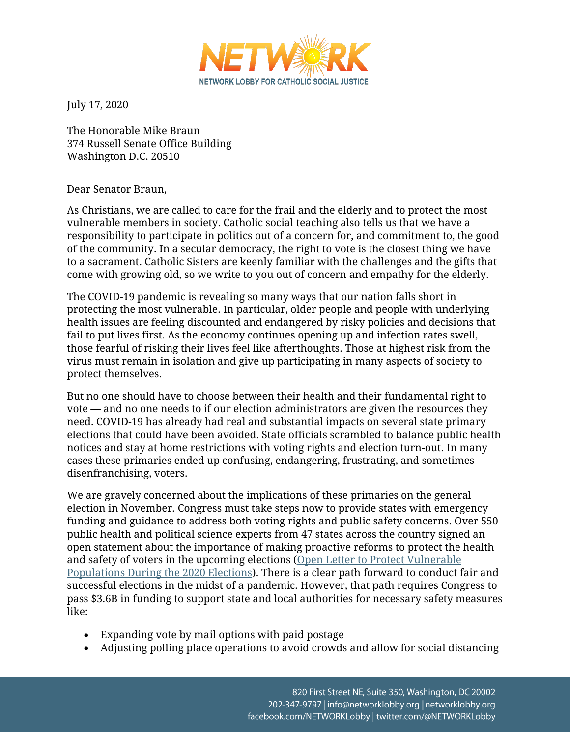

July 17, 2020

The Honorable Mike Braun 374 Russell Senate Office Building Washington D.C. 20510

## Dear Senator Braun,

As Christians, we are called to care for the frail and the elderly and to protect the most vulnerable members in society. Catholic social teaching also tells us that we have a responsibility to participate in politics out of a concern for, and commitment to, the good of the community. In a secular democracy, the right to vote is the closest thing we have to a sacrament. Catholic Sisters are keenly familiar with the challenges and the gifts that come with growing old, so we write to you out of concern and empathy for the elderly.

The COVID-19 pandemic is revealing so many ways that our nation falls short in protecting the most vulnerable. In particular, older people and people with underlying health issues are feeling discounted and endangered by risky policies and decisions that fail to put lives first. As the economy continues opening up and infection rates swell, those fearful of risking their lives feel like afterthoughts. Those at highest risk from the virus must remain in isolation and give up participating in many aspects of society to protect themselves.

But no one should have to choose between their health and their fundamental right to vote — and no one needs to if our election administrators are given the resources they need. COVID-19 has already had real and substantial impacts on several state primary elections that could have been avoided. State officials scrambled to balance public health notices and stay at home restrictions with voting rights and election turn-out. In many cases these primaries ended up confusing, endangering, frustrating, and sometimes disenfranchising, voters.

We are gravely concerned about the implications of these primaries on the general election in November. Congress must take steps now to provide states with emergency funding and guidance to address both voting rights and public safety concerns. Over 550 public health and political science experts from 47 states across the country signed an open statement about the importance of making proactive reforms to protect the health and safety of voters in the upcoming elections [\(Open Letter to Protect Vulnerable](https://ucs-documents.s3.amazonaws.com/science-and-democracy/polsci-and-pubhealth-open-letter.pdf)  [Populations During the 2020 Elections\)](https://ucs-documents.s3.amazonaws.com/science-and-democracy/polsci-and-pubhealth-open-letter.pdf). There is a clear path forward to conduct fair and successful elections in the midst of a pandemic. However, that path requires Congress to pass \$3.6B in funding to support state and local authorities for necessary safety measures like:

- Expanding vote by mail options with paid postage
- Adjusting polling place operations to avoid crowds and allow for social distancing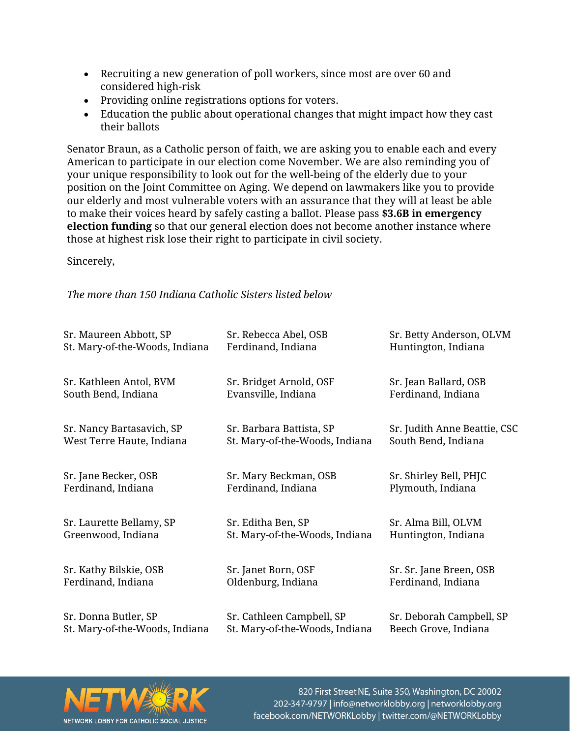- Recruiting a new generation of poll workers, since most are over 60 and considered high-risk
- Providing online registrations options for voters.
- Education the public about operational changes that might impact how they cast their ballots

Senator Braun, as a Catholic person of faith, we are asking you to enable each and every American to participate in our election come November. We are also reminding you of your unique responsibility to look out for the well-being of the elderly due to your position on the Joint Committee on Aging. We depend on lawmakers like you to provide our elderly and most vulnerable voters with an assurance that they will at least be able to make their voices heard by safely casting a ballot. Please pass **\$3.6B in emergency election funding** so that our general election does not become another instance where those at highest risk lose their right to participate in civil society.

Sincerely,

*The more than 150 Indiana Catholic Sisters listed below*

| Sr. Maureen Abbott, SP         | Sr. Rebecca Abel, OSB          | Sr. Betty Anderson, OLVM     |
|--------------------------------|--------------------------------|------------------------------|
| St. Mary-of-the-Woods, Indiana | Ferdinand, Indiana             | Huntington, Indiana          |
| Sr. Kathleen Antol, BVM        | Sr. Bridget Arnold, OSF        | Sr. Jean Ballard, OSB        |
| South Bend, Indiana            | Evansville, Indiana            | Ferdinand, Indiana           |
| Sr. Nancy Bartasavich, SP      | Sr. Barbara Battista, SP       | Sr. Judith Anne Beattie, CSC |
| West Terre Haute, Indiana      | St. Mary-of-the-Woods, Indiana | South Bend, Indiana          |
| Sr. Jane Becker, OSB           | Sr. Mary Beckman, OSB          | Sr. Shirley Bell, PHJC       |
| Ferdinand, Indiana             | Ferdinand, Indiana             | Plymouth, Indiana            |
| Sr. Laurette Bellamy, SP       | Sr. Editha Ben, SP             | Sr. Alma Bill, OLVM          |
| Greenwood, Indiana             | St. Mary-of-the-Woods, Indiana | Huntington, Indiana          |
| Sr. Kathy Bilskie, OSB         | Sr. Janet Born, OSF            | Sr. Sr. Jane Breen, OSB      |
| Ferdinand, Indiana             | Oldenburg, Indiana             | Ferdinand, Indiana           |
| Sr. Donna Butler, SP           | Sr. Cathleen Campbell, SP      | Sr. Deborah Campbell, SP     |
| St. Mary-of-the-Woods, Indiana | St. Mary-of-the-Woods, Indiana | Beech Grove, Indiana         |



820 First Street NE, Suite 350, Washington, DC 20002 202-347-9797 | info@networklobby.org | networklobby.org facebook.com/NETWORKLobby | twitter.com/@NETWORKLobby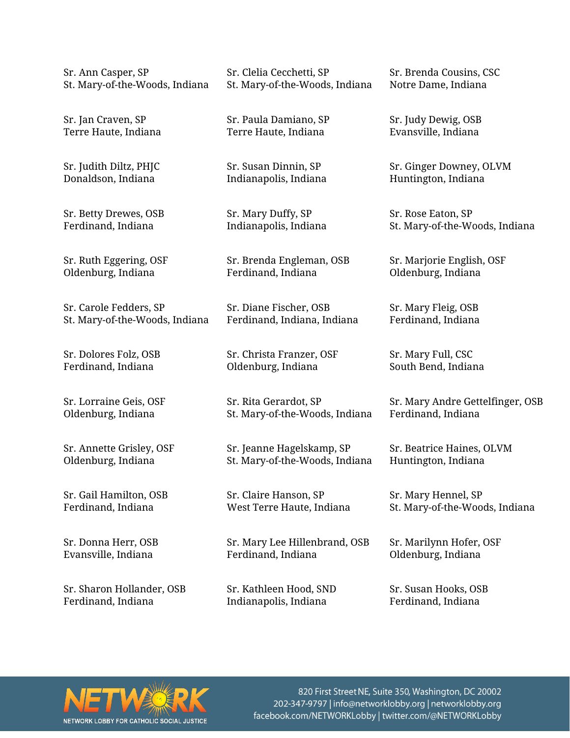| Sr. Ann Casper, SP             | Sr. Clelia Cecchetti, SP       | Sr. Brenda Cousins, CSC          |
|--------------------------------|--------------------------------|----------------------------------|
| St. Mary-of-the-Woods, Indiana | St. Mary-of-the-Woods, Indiana | Notre Dame, Indiana              |
| Sr. Jan Craven, SP             | Sr. Paula Damiano, SP          | Sr. Judy Dewig, OSB              |
| Terre Haute, Indiana           | Terre Haute, Indiana           | Evansville, Indiana              |
| Sr. Judith Diltz, PHJC         | Sr. Susan Dinnin, SP           | Sr. Ginger Downey, OLVM          |
| Donaldson, Indiana             | Indianapolis, Indiana          | Huntington, Indiana              |
| Sr. Betty Drewes, OSB          | Sr. Mary Duffy, SP             | Sr. Rose Eaton, SP               |
| Ferdinand, Indiana             | Indianapolis, Indiana          | St. Mary-of-the-Woods, Indiana   |
| Sr. Ruth Eggering, OSF         | Sr. Brenda Engleman, OSB       | Sr. Marjorie English, OSF        |
| Oldenburg, Indiana             | Ferdinand, Indiana             | Oldenburg, Indiana               |
| Sr. Carole Fedders, SP         | Sr. Diane Fischer, OSB         | Sr. Mary Fleig, OSB              |
| St. Mary-of-the-Woods, Indiana | Ferdinand, Indiana, Indiana    | Ferdinand, Indiana               |
| Sr. Dolores Folz, OSB          | Sr. Christa Franzer, OSF       | Sr. Mary Full, CSC               |
| Ferdinand, Indiana             | Oldenburg, Indiana             | South Bend, Indiana              |
| Sr. Lorraine Geis, OSF         | Sr. Rita Gerardot, SP          | Sr. Mary Andre Gettelfinger, OSB |
| Oldenburg, Indiana             | St. Mary-of-the-Woods, Indiana | Ferdinand, Indiana               |
| Sr. Annette Grisley, OSF       | Sr. Jeanne Hagelskamp, SP      | Sr. Beatrice Haines, OLVM        |
| Oldenburg, Indiana             | St. Mary-of-the-Woods, Indiana | Huntington, Indiana              |
| Sr. Gail Hamilton, OSB         | Sr. Claire Hanson, SP          | Sr. Mary Hennel, SP              |
| Ferdinand, Indiana             | West Terre Haute, Indiana      | St. Mary-of-the-Woods, Indiana   |
| Sr. Donna Herr, OSB            | Sr. Mary Lee Hillenbrand, OSB  | Sr. Marilynn Hofer, OSF          |
| Evansville, Indiana            | Ferdinand, Indiana             | Oldenburg, Indiana               |
| Sr. Sharon Hollander, OSB      | Sr. Kathleen Hood, SND         | Sr. Susan Hooks, OSB             |
| Ferdinand, Indiana             | Indianapolis, Indiana          | Ferdinand, Indiana               |



820 First Street NE, Suite 350, Washington, DC 20002 202-347-9797 | info@networklobby.org | networklobby.org facebook.com/NETWORKLobby | twitter.com/@NETWORKLobby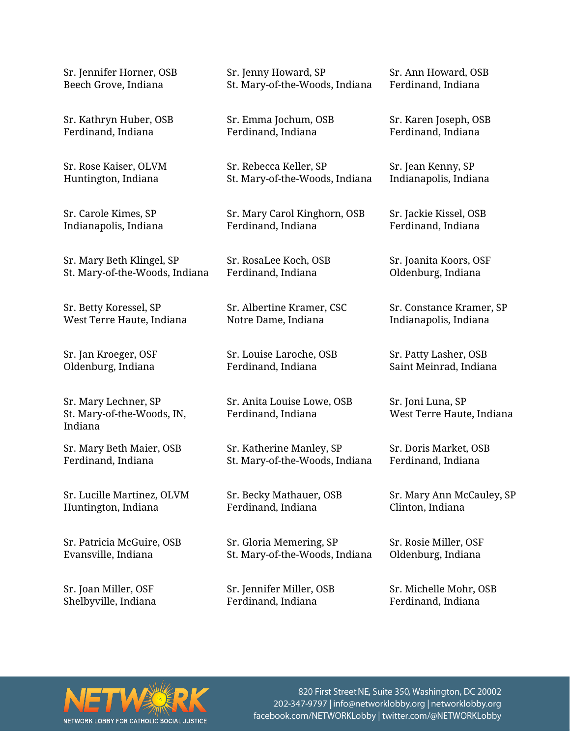| Sr. Jennifer Horner, OSB                                      | Sr. Jenny Howard, SP                             | Sr. Ann Howard, OSB                            |
|---------------------------------------------------------------|--------------------------------------------------|------------------------------------------------|
| Beech Grove, Indiana                                          | St. Mary-of-the-Woods, Indiana                   | Ferdinand, Indiana                             |
| Sr. Kathryn Huber, OSB                                        | Sr. Emma Jochum, OSB                             | Sr. Karen Joseph, OSB                          |
| Ferdinand, Indiana                                            | Ferdinand, Indiana                               | Ferdinand, Indiana                             |
| Sr. Rose Kaiser, OLVM                                         | Sr. Rebecca Keller, SP                           | Sr. Jean Kenny, SP                             |
| Huntington, Indiana                                           | St. Mary-of-the-Woods, Indiana                   | Indianapolis, Indiana                          |
| Sr. Carole Kimes, SP                                          | Sr. Mary Carol Kinghorn, OSB                     | Sr. Jackie Kissel, OSB                         |
| Indianapolis, Indiana                                         | Ferdinand, Indiana                               | Ferdinand, Indiana                             |
| Sr. Mary Beth Klingel, SP                                     | Sr. RosaLee Koch, OSB                            | Sr. Joanita Koors, OSF                         |
| St. Mary-of-the-Woods, Indiana                                | Ferdinand, Indiana                               | Oldenburg, Indiana                             |
| Sr. Betty Koressel, SP                                        | Sr. Albertine Kramer, CSC                        | Sr. Constance Kramer, SP                       |
| West Terre Haute, Indiana                                     | Notre Dame, Indiana                              | Indianapolis, Indiana                          |
| Sr. Jan Kroeger, OSF                                          | Sr. Louise Laroche, OSB                          | Sr. Patty Lasher, OSB                          |
| Oldenburg, Indiana                                            | Ferdinand, Indiana                               | Saint Meinrad, Indiana                         |
| Sr. Mary Lechner, SP<br>St. Mary-of-the-Woods, IN,<br>Indiana | Sr. Anita Louise Lowe, OSB<br>Ferdinand, Indiana | Sr. Joni Luna, SP<br>West Terre Haute, Indiana |
| Sr. Mary Beth Maier, OSB                                      | Sr. Katherine Manley, SP                         | Sr. Doris Market, OSB                          |
| Ferdinand, Indiana                                            | St. Mary-of-the-Woods, Indiana                   | Ferdinand, Indiana                             |
| Sr. Lucille Martinez, OLVM                                    | Sr. Becky Mathauer, OSB                          | Sr. Mary Ann McCauley, SP                      |
| Huntington, Indiana                                           | Ferdinand, Indiana                               | Clinton, Indiana                               |
| Sr. Patricia McGuire, OSB                                     | Sr. Gloria Memering, SP                          | Sr. Rosie Miller, OSF                          |
| Evansville, Indiana                                           | St. Mary-of-the-Woods, Indiana                   | Oldenburg, Indiana                             |

Sr. Joan Miller, OSF Shelbyville, Indiana

Sr. Jennifer Miller, OSB Ferdinand, Indiana

Sr. Michelle Mohr, OSB Ferdinand, Indiana



820 First Street NE, Suite 350, Washington, DC 20002 202-347-9797 | info@networklobby.org | networklobby.org<br>facebook.com/NETWORKLobby | twitter.com/@NETWORKLobby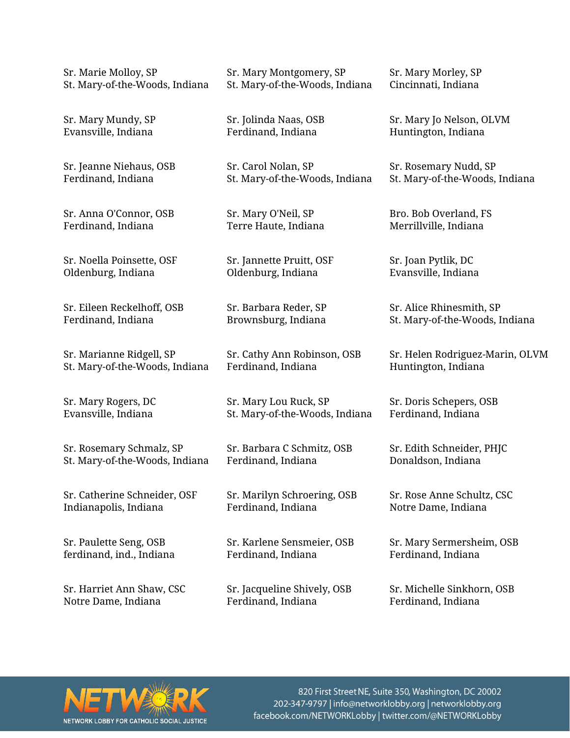| Sr. Mary Montgomery, SP        | Sr. Mary Morley, SP             |
|--------------------------------|---------------------------------|
| St. Mary-of-the-Woods, Indiana | Cincinnati, Indiana             |
| Sr. Jolinda Naas, OSB          | Sr. Mary Jo Nelson, OLVM        |
| Ferdinand, Indiana             | Huntington, Indiana             |
| Sr. Carol Nolan, SP            | Sr. Rosemary Nudd, SP           |
| St. Mary-of-the-Woods, Indiana | St. Mary-of-the-Woods, Indiana  |
| Sr. Mary O'Neil, SP            | Bro. Bob Overland, FS           |
| Terre Haute, Indiana           | Merrillville, Indiana           |
| Sr. Jannette Pruitt, OSF       | Sr. Joan Pytlik, DC             |
| Oldenburg, Indiana             | Evansville, Indiana             |
| Sr. Barbara Reder, SP          | Sr. Alice Rhinesmith, SP        |
| Brownsburg, Indiana            | St. Mary-of-the-Woods, Indiana  |
| Sr. Cathy Ann Robinson, OSB    | Sr. Helen Rodriguez-Marin, OLVM |
| Ferdinand, Indiana             | Huntington, Indiana             |
| Sr. Mary Lou Ruck, SP          | Sr. Doris Schepers, OSB         |
| St. Mary-of-the-Woods, Indiana | Ferdinand, Indiana              |
| Sr. Barbara C Schmitz, OSB     | Sr. Edith Schneider, PHJC       |
| Ferdinand, Indiana             | Donaldson, Indiana              |
| Sr. Marilyn Schroering, OSB    | Sr. Rose Anne Schultz, CSC      |
| Ferdinand, Indiana             | Notre Dame, Indiana             |
| Sr. Karlene Sensmeier, OSB     | Sr. Mary Sermersheim, OSB       |
| Ferdinand, Indiana             | Ferdinand, Indiana              |
| Sr. Jacqueline Shively, OSB    | Sr. Michelle Sinkhorn, OSB      |
| Ferdinand, Indiana             | Ferdinand, Indiana              |
|                                |                                 |



820 First Street NE, Suite 350, Washington, DC 20002 202-347-9797 | info@networklobby.org | networklobby.org<br>facebook.com/NETWORKLobby | twitter.com/@NETWORKLobby